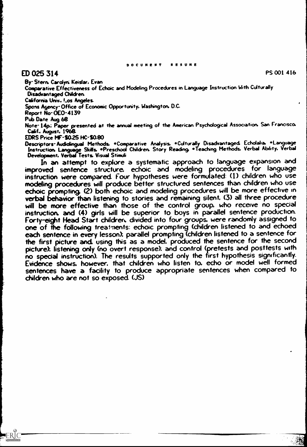# ED 025 314

By-Stern Carolyn; Keislar. Evan

Comparative Effectiveness of Echoic and Modeling Procedures in Language Instruction With Culturally Disadvantaged Children.

California Univ.. Los Angeles.

Spons Agency-Office of Economic Opportunity. Washington. D.C.

Report No-0E0-4139

Pub Date Aug 68

ERIC

Note- 14p; Paper presented at the annual meeting of the American Psychological Association. San Francisco. Calif.. August. 1968

EDRS Price MF-S025 Hc-saso

Descriptors- Audiolingual Methods. \*Comparative Analysis. \*Culturally Disadvantaged. Echolalia. \*Language Lourpring museum search Children. Story Reading. \*Teaching Methods. Verbal Ability. Verbal Development. Verbal Tests. Visual Stimuli

In an attempt to explore a systematic approach to language expansion and improved sentence structure, echoic and modeling procedures for language instruction were compared Four hypotheses were formulated: (1) children who use modeling procedures will produce better structured sentences than children who use echoic prompting. (2) both echoic and modeling procedures will be more effective in verbal behavior than listening to stories and remaining silent. (3) all three procedure will be more effective than those of the control group. who receive no special instruction. and (4) girls will be superior to boys in parallel sentence production. Forty-eight Head Start children, divided into four groups, were randomly assigned to one of the following treatments: echoic prompting (children listened to and echoed each sentence in every lesson); parallel prompting (children listened to a sentence for the first picture and using this as a model. produced the sentence for the second picture); listening only (no overt response); and control (pretests and posttests with no special instruction). The results supported only the first hypothesis significantly. Evidence shows. however, that children who listen to. echo or model well formed sentences have a facility to produce appropriate sentences when compared to children who are not so exposed (JS)

PS 001 416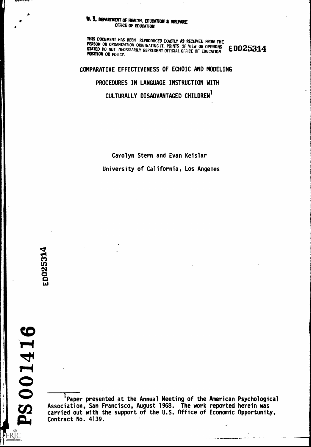### **U. 5. DEPARTMENT OF HEALTH, EDUCATION & WELFARE** OFFICE OF EDUCATION

THIS DOCUMENT HAS BEEN REPRODUCED EXACTLY AS RECEIVED FROM THE<br>PERSON OR ORGANIZATION ORIGINATING IT. POINTS OF VIEW OR OPINIONS E DOZ5314 STATED DO NOT NECESSARILY REPRESENT OFFICIAL OFFICE OF EDUCATION POSITION OR POLICY.

COMPARATIVE EFFECTIVENESS OF ECHOIC AND MODELING PROCEDURES IN LANGUAGE INSTRUCTION WITH CULTURALLY DISADVANTAGED CHILDREN<sup>1</sup>

> Carolyn Stern and Evan Keislar University of California, Los Angeles

 $\bullet$  is a set of  $\bullet$ 

**RESERVANCE** 

 $\frac{1}{2}$ 

ERIC

'Paper presented at the Annual Meeting of the American Psychological Association, San Fra carried out Contract No . 4139., San Francisco, August 1968. The work reported herein was with the support of the U.S. Office of Economic Opportunity,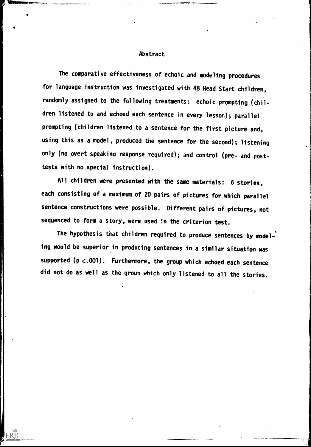#### Abstract

The comparative effectiveness of echoic and modeling procedures for language instruction was investigated with 48 Head Start children, randomly assigned to the following treatments: echoic prompting (children listened to and echoed each sentence in every lessor.); parallel prompting (children listened to a sentence for the first picture and, using this as a model, produced the sentence for the second); listening only (no overt speaking response required); and control (pre- and posttests with no special instruction).

All children were presented with the same materials: 6 stories, each consisting of a maximum of 20 pairs of pictures for which parallel sentence constructions were possible. Different pairs of pictures, not sequenced to form a story, were used in the criterion test.

The hypothesis that children required to produce sentences by modeling would be superior in producing sentences in a similar situation was supported ( $p < .001$ ). Furthermore, the group which echoed each sentence did not do as well as the group which only listened to all the stories.

ERIC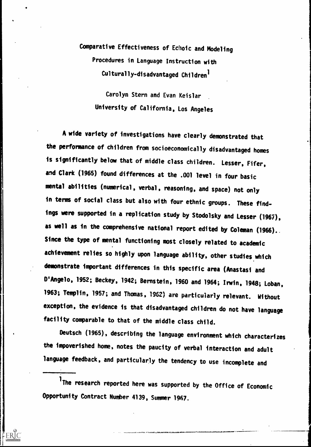# Comparative Effectiveness of Echoic and Modeling Procedures in Language Instruction with Culturally-disadvantaged Children'

Carolyn Stern and Evan Keislar University of California, Los Angeles

A wide variety of investigations have clearly demonstrated that the performance of children from socioeconomically disadvantaged homes is significantly below that of middle class children. Lesser, Fifer, and Clark (1965) found differences at the .001 level in four basic mental abilities (numerical, verbal, reasoning, and space) not only in terms of social class but also with four ethnic groups. These findings were supported in a replication study by Stodolsky and Lesser (1967), as well as in the comprehensive national report edited by Coleman (1966). Since the type of mental functioning most closely related to academic achievement relies so highly upon language ability, other studies which demonstrate important differences in this specific area (Anastasi and D'Angelo, 1952; Beckey, 1942; Bernstein, 1960 and 1964; Irwin, 1948; Loban, 1963; Templin, 1957; and Thomas, 1962) are particularly relevant. Without exception, the evidence is that disadvantaged children do not have language facility comparable to that of the middle class child.

Deutsch (1965), describing the language environment which characterizes the impoverished home, notes the paucity of verbal interaction and adult language feedback, and particularly the tendency to use incomplete and

1 The research reported here was supported by the Office of Economic Opportunity Contract Number 4139, Summer 1967.

ERIC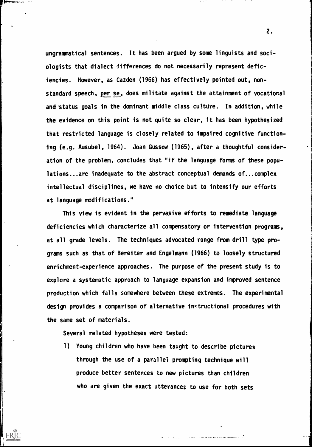ungrammatical sentences. It has been argued by some linguists and sociologists that dialect differences do not necessarily represent deficiencies. However, as Cazden (1966) has effectively pointed out, nonstandard speech, per se, does militate against the attainment of vocational and status goals in the dominant middle class culture. In addition, while the evidence on this point is not quite so clear, it has been hypothesized that restricted language is closely related to impaired cognitive functioning (e.g. Ausubel, 1964). Joan Gussow (1965), after a thoughtful consideration of the problem, concludes that "if the language forms of these populations...are inadequate to the abstract conceptual demands of...complex intellectual disciplines, we have no choice but to intensify our efforts at language modifications."

This view is evident in the pervasive efforts to remediate language deficiencies which characterize all compensatory or intervention programs, at all grade levels. The techniques advocated range from drill type programs such as that of Bereiter and Engelmann (1966) to loosely structured enrichment-experience approaches. The purpose of the present study is to explore a systematic approach to language expansion and improved sentence production which falls somewhere between these extremes. The experimental design provides a comparison of alternative instructional procedures with the same set of materials.

Several related hypotheses were tested:

 $\mathcal{I}$ 

1) Young children who have been taught to describe pictures through the use of a parallel prompting technique will produce better sentences to new pictures than children who are given the exact utterances to use for both sets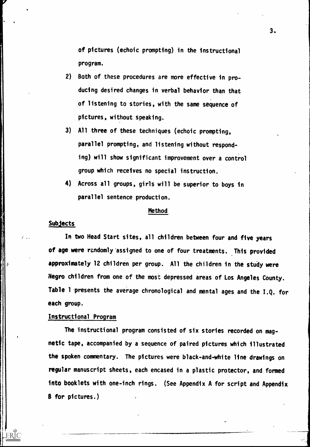of pictures (echoic prompting) in the instructional program.

- 2) Both of these procedures are more effective in producing desired changes in verbal behavior than that of listening to stories, with the same sequence of pictures, without speaking.
- 3) All three of these techniques (echoic prompting, parallel prompting, and listening without responding) will show significant improvement over a control group which receives no special instruction.
- 4) Across all groups, girls will be superior to boys in parallel sentence production.

#### Method

#### Subjects

 $\mathbb{R}^2$  .

ERIC

In two Head Start sites, all children between four and five years of age were randomly assigned to one of four treatments. This provided approximately 12 children per group. All the children in the study were Negro children from one of the most depressed areas of Los Angeles County. Table 1 presents the average chronological and mental ages and the I.Q. for each group.

#### Instructional Program

The instructional program consisted of six stories recorded on magnetic tape, accompanied by a sequence of paired pictures which illustrated the spoken commentary. The pictures were black-and-white line drawings on regular manuscript sheets, each encased in a plastic protector, and formed into booklets with one-inch rings. (See Appendix A for script and Appendix B for pictures.)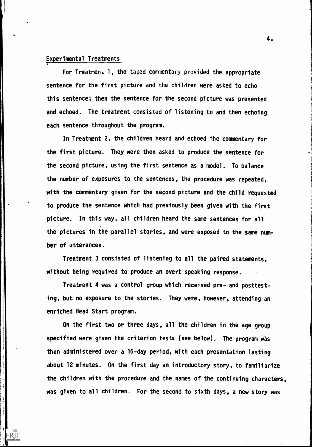#### Experimental Treatments

For Treatment 1, the taped commentary provided the appropriate sentence for the first picture and the children were asked to echo this sentence; then the sentence for the second picture was presented and echoed. The treatment consisted of listening to and then echoing each sentence throughout the program.

In Treatment 2, the children heard and echoed the commentary for the first picture. They were then asked to produce the sentence for the second picture, using the first sentence as a model. To balance the number of exposures to the sentences, the procedure was repeated, with the commentary given for the second picture and the child requested to produce the sentence which had previously been given with the first picture. In this way, all children heard the same sentences for all the pictures in the parallel stories, and were exposed to the same number of utterances.

Treatment 3 consisted of listening to all the paired statements, without being required to produce an overt speaking response.

Treatment 4 was a control group which received pre- and posttesting, but no exposure to the stories. They were, however, attending an enriched Head Start program.

On the first two or three days, all the children in the age group specified were given the criterion tests (see below). The program was then administered over a 16-day period, with each presentation lasting about 12 minutes. On the first day an introductory story, to familiarize the children with the procedure and the names of the continuing characters, was given to all children. For the second to sixth days, a new story was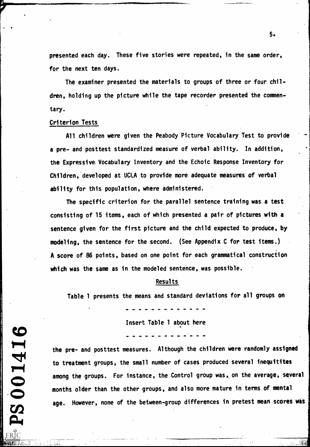presented each day. These five stories were repeated, in the same order, for the next ten days.

The examiner presented the materials to groups of three or four children, holding up the picture while the tape recorder presented the commentary.

#### Criterion Tests

4141)

1211

All children were given the Peabody Picture Vocabulary Test to provide a pre- and posttest standardized measure of verbal ability. In addition, the Expressive,Vocabulary Inventory and the Echoic Response Inventory for Children, developed at UCLA to provide more adequate measures of verbal ability for this population, where administered.

The specific criterion for the parallel sentence training was a test consisting of 15 items, each of which presented a pair of pictures with a sentence given for the first picture and the child expected to produce, by modeling, the sentence for the second. (See Appendix C for test items.) A score of 86 points, based on one point for each grammatical construciion which was the same as in the modeled sentence, was possible.

#### Results

Table 1 presents the means and standard deviations for all groups on

Insert Table 1 about here

the pre- and posttest measures. Although the children were randomly assigned to treatment groups, the small number of cases produced several inequitites  $\boldsymbol{\Omega}$ among the groups. For instance, the Control group was, on the average, several months older than the other groups, and also more mature in terms of mental age. However, none of the between-group differences in pretest mean scores was

 $5.$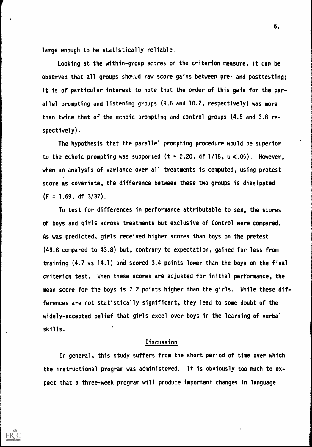large enough to be statistically reliable.

Looking at the within-group scsres on the criterion measure, it can be observed that all groups showed raw score gains between pre- and posttesting; it is of particular interest to note that the order of this gain for the parallel prompting and listening groups (9.6 and 10.2, respectively) was more than twice that of the echoic prompting and control groups (4.5 and 3.8 respectively).

The hypothesis that the parallel prompting procedure would be superior to the echoic prompting was supported (t = 2.20, df 1/18, p <.05). However, when an analysis of variance over all treatments is computed, using pretest score as covariate, the difference between these two groups is dissipated  $(F = 1.69, df = 3/37)$ .

To test for differences in performance attributable to sex, the scores of boys and girls across treatments but exclusive of Control were compared. As was predicted, girls received higher scores than boys on the pretest (49.8 compared to 43.8) but, contrary to expectation, gained far less from training (4.7 vs 14.1) and scored 3.4 points lower than the boys on the final criterion test. When these scores are adjusted for initial performance, the mean score for the boys is 7.2 points higher than the girls. While these differences are not statistically significant, they lead to some doubt of the widely-accepted belief that girls excel over boys in the learning of verbal skills. t

## **Discussion**

In general, this study suffers from the short period of time over which the instructional program was administered. It is obviously too much to expect that a three-week program will produce important changes in language

ERIC

 $\tau=1$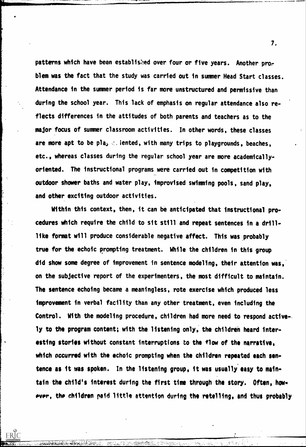patterns which have been established over four or five years. Another problem was the fact that the study was carried out in summer Head Start classes. Attendance in the summer period is far more unstructured and permissive than during the school year. This lack of emphasis on regular attendance also reflects differences in the attitudes of both parents and teachers as to the major focus of summer classroom activities. In other words, these classes are more apt to be pla<sub>3</sub>  $\epsilon$ . iented, with many trips to playgrounds, beaches, etc., whereas classes during the regular school year are more academicallyoriented. The instructional programs were carried out in competition with outdoor shower baths and water play, improvised swimming pools, sand play, and other exciting outdoor activities.

Within this context, then, it can be anticipated that instructional procedures which require the child to sit still and repeat sentences in a drill. like format will produce considerable negative affect. This was probably true for the echoic prompting treatment. While the children in this group did show some degree of improvement in sentence modeling, their attention was. on the subjective report of the experimenters, the most difficult to maintain. The sentence echoing became a meaningless, rote exercise which produced less improvement in verbal facility than any other treatment, even including the Control. With the modeling procedure, children had more need to respond actively to the program content; with the listening only, the children heard interesting stories without constant interruptions to the flow of the narrative. which occurred with the echoic prompting when the children repeated each sentence as it was spoken. In the listening group, it was usually easy to maintain the child's interest during the first time through the story. Often, how» ever, the children paid little attention during the retelling, and thus probably

e de la filosofie<br>De la filosofie de la production de la filosofie de la filosofie de la filosofie de la filosofie de la filosof<br>De la filosofie de la filosofie de la filosofie de la filosofie de la filosofie de la filosof

L.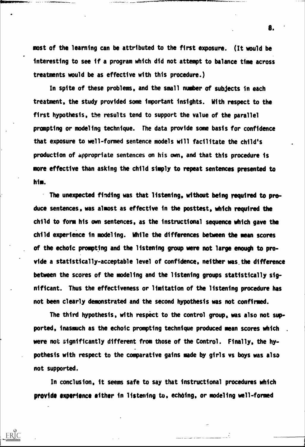most of the learning can be attributed to the first exposure. (It would be interesting to see if a program which did not attempt to balance time across treatments would be as effective with this procedure.)

In spite of these problems, and the small number of subjects in each treatment, the study provided some important insights. With respect to the first hypothesis, the results tend to support the value of the parallel prompting or modeling technique. The data provide some basis for confidence that exposure to well-formed sentence models will facilitate the child's production of appropriate sentences on his own, and that this procedure is more effective than asking the child simply to repeat sentences presented to him.

The unexpected finding was that listening, without being required to produce sentences, was almost as effective in the posttest, which required the child to form his own sentences, as the instructional sequence which gave the child experience in modeling. While the differences between the mean scores of the echoic prompting and the listening group were not large enough to provide a statistically-acceptable level of confidence, neither was the difference between the scores of the modeling and the listening groups statistically significant. Thus the effectiveness or limitation of the listening procedure has not been clearly demonstrated and the second hypothesis was not confirmed.

The third hypothesis, with respect to the control group, was also not supported, inasmuch as the echoic prompting technique produced mean scores which . were not significantly different from those of the Control. Finally, the hypothesis with respect to the comparative gains made by girls vs boys was also not supported.

In conclusion, it seems safe to say that instructional procedures which provide experience either in listening to, echoing, or modeling well-formed

ERIC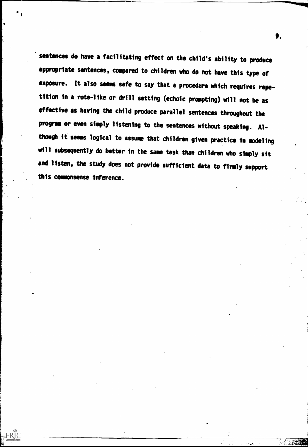sentences do have a facilitating effect on the child's ability to produce appropriate sentences, compared to children who do not have this type of exposure. It also seems safe to say that a procedure which requires repetition in a rote-like or drill setting (echoic prompting) will not be as effective as having the child produce parallel sentences throughout the program or even simply listening to the sentences without speaking. Although it seems logical to assume that children given practice in modeling will subsequently do better in the same task than children who simply sit and listen, the study does not provide sufficient data to firmly support this commonsense inference.

 $ERIC$ 

9.

**NET START**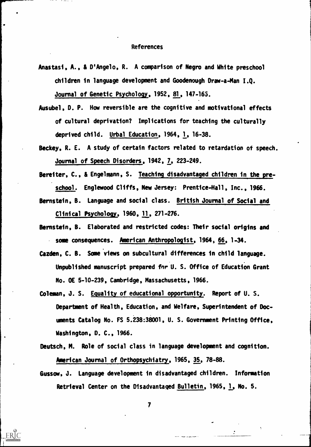#### References

- Anastasi, A., & D'Angelo, R. A comparison of Negro and White preschool children in language development and Goodenough Draw-a-Man I.Q. Journal of Genetic Psychology, 1952, 81, 147-165.
- Ausubel, D. P. How reversible are the cognitive and motivational effects of cultural deprivation? Implications for teaching the culturally deprived child. Urbal Education, 1964, 1, 16-38.
- Beckey, R. E. A study of certain factors related to retardation of speech. Journal of Speech Disorders, 1942, 7, 223-249.
- Bereiter, C., & Engelmann, S. Teaching disadvantaged children in the preschool. Englewood Cliffs, New Jersey: Prentice-Hall, Inc., 1966.
- Bernstein, B. Language and social class. British Journal of Social and Clinical Psychology, 1960, 11, 271-276.
- Bernstein, B. Elaborated and restricted codes: Their social origins and some consequences. American Anthropologist, 1964: 66, 1-34.
- Cazden, C. B. Some'views on subcultural differences in child language. Unpublished manuscript prepared for U. S. Office of Education Grant No. OE 5-10-239, Cambridge, Massachusetts, 1966.
- Coleman, J. S. Equality of educational opportunity. Report of U. S. Department of Health, Education, and Welfare, Superintendent of Documents Catalog No. FS 5.238:38001, U. S. Government Printing Office, Washington, D. C., 1966.
- Deutsch, M. Role of social class in language development and cognition. kmerican Journal of Orthopsychiatry, 1965, 35, 78-88.
- Gussow, J. Language development in disadvantaged children. Information Retrieval Center on the Disadvantaged Bulletin, 1965, 1, No. 5.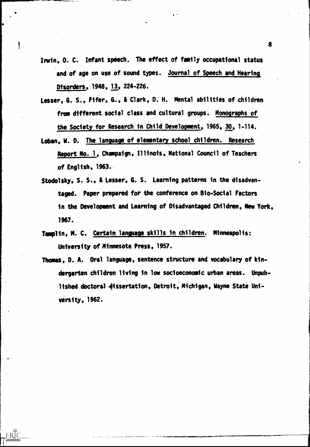Irwin, O. C. Infant speech. The effect of family occupational status and of age on use of sound types. Journal of Speech and Hearing Dtsorders, 1948, 13, 224-226.

 $\mathbf{I}$ 

- Lesser, G. S., Fifer, 6., & Clark, D. H. Mental abilities of children from different social class and cultural groups. Monographs of the Society for Research in Child Development, 1965, 30, 1-114.
- Loban, W. D. The language of elementary school children. Research Report No. 1, Champaign, Illinois, National Council of Teachers of English, 1963..
- Stodolsky, S. S., & Lesser, G. S. Learning patterns in the disadvantaged. Paper prepared for the conference on Bio-Social Factors in the Development and Learning of Disadvantaged Children, New York, 1967.
- Templin, M. C. Certain language skills in children. Minneapolis: University of Minnesota Press, 1957.

 $ERIC$ 

Thomas, D. A. Oral language, sentence structure and vocabulary of kindergarten children living in low socioeconomic urban areas. Unpublished doctoral dissertation, Detroit, Michigan, Wayne State University, 1962.